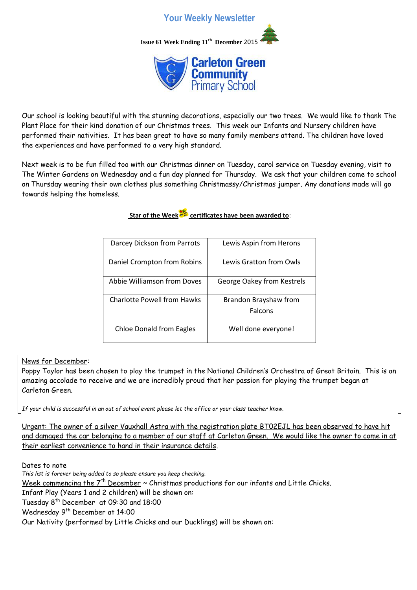## **Your Weekly Newsletter**

**Issue 61 Week Ending 11th December** 2015



Our school is looking beautiful with the stunning decorations, especially our two trees. We would like to thank The Plant Place for their kind donation of our Christmas trees. This week our Infants and Nursery children have performed their nativities. It has been great to have so many family members attend. The children have loved the experiences and have performed to a very high standard.

Next week is to be fun filled too with our Christmas dinner on Tuesday, carol service on Tuesday evening, visit to The Winter Gardens on Wednesday and a fun day planned for Thursday. We ask that your children come to school on Thursday wearing their own clothes plus something Christmassy/Christmas jumper. Any donations made will go towards helping the homeless.

**Star of the Week certificates have been awarded to**:

| Darcey Dickson from Parrots     | Lewis Aspin from Herons          |
|---------------------------------|----------------------------------|
| Daniel Crompton from Robins     | Lewis Gratton from Owls          |
| Abbie Williamson from Doves     | George Oakey from Kestrels       |
| Charlotte Powell from Hawks     | Brandon Brayshaw from<br>Falcons |
| <b>Chloe Donald from Eagles</b> | Well done everyone!              |

News for December:

Poppy Taylor has been chosen to play the trumpet in the National Children's Orchestra of Great Britain. This is an amazing accolade to receive and we are incredibly proud that her passion for playing the trumpet began at Carleton Green.

*If your child is successful in an out of school event please let the office or your class teacher know.*

Urgent: The owner of a silver Vauxhall Astra with the registration plate BT02EJL has been observed to have hit and damaged the car belonging to a member of our staff at Carleton Green. We would like the owner to come in at their earliest convenience to hand in their insurance details.

Dates to note

*This list is forever being added to so please ensure you keep checking.* Week commencing the  $7<sup>th</sup>$  December  $\sim$  Christmas productions for our infants and Little Chicks. Infant Play (Years 1 and 2 children) will be shown on: Tuesday 8th December at 09:30 and 18:00 Wednesday 9<sup>th</sup> December at 14:00 Our Nativity (performed by Little Chicks and our Ducklings) will be shown on: